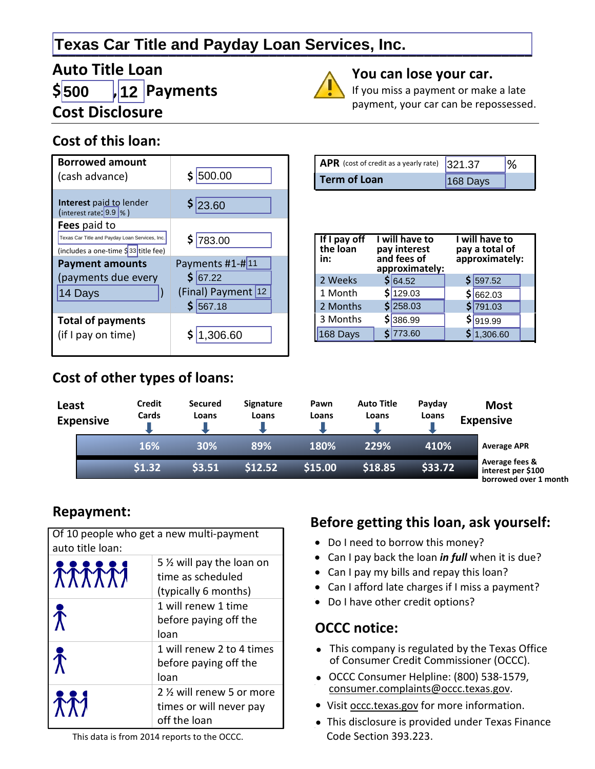# **\_\_\_\_\_\_\_\_\_\_\_\_\_\_\_\_\_\_\_\_\_\_\_\_\_\_\_\_\_\_\_\_\_\_\_\_\_\_\_\_\_\_\_\_\_\_\_\_\_\_\_\_\_\_\_\_\_\_\_\_\_\_ Texas Car Title and Payday Loan Services, Inc.**

#### **Auto Title Loan \$ , Payments Cost Disclosure 500 12**

#### **Cost of this loan:**



#### **Cost of other types of loans:**

#### **You can lose your car.**

If you miss a payment or make a late payment, your car can be repossessed.

| APR (cost of credit as a yearly rate) 321.37 |          |  |
|----------------------------------------------|----------|--|
| <b>Term of Loan</b>                          | 168 Days |  |

| If I pay off<br>the loan<br>in: | I will have to<br>pay interest<br>and fees of<br>approximately: | I will have to<br>pay a total of<br>approximately: |  |  |
|---------------------------------|-----------------------------------------------------------------|----------------------------------------------------|--|--|
| 2 Weeks                         | \$ 64.52                                                        | $$$ 597.52                                         |  |  |
| 1 Month                         | \$129.03                                                        | \$ 662.03                                          |  |  |
| 2 Months                        | $S$ 258.03                                                      | \$791.03                                           |  |  |
| 3 Months                        | \$386.99                                                        | \$ 919.99                                          |  |  |
| 168 Days                        | \$ 773.60                                                       | \$ 1,306.60                                        |  |  |

| Least | <b>Expensive</b> | Credit<br>Cards | <b>Secured</b><br>Loans | <b>Signature</b><br>Loans | Pawn<br>Loans | <b>Auto Title</b><br>Loans | Payday<br>Loans | <b>Most</b><br><b>Expensive</b>                                           |  |
|-------|------------------|-----------------|-------------------------|---------------------------|---------------|----------------------------|-----------------|---------------------------------------------------------------------------|--|
|       |                  | 16%             | 30%                     | 89%                       | 180%          | 229%                       | 410%            | <b>Average APR</b>                                                        |  |
|       |                  | \$1.32          | 53.51                   | \$12.52                   | \$15.00       | \$18.85                    | \$33.72         | Average fees &<br>interest per \$100<br>والقصوص والمستحدد والمحادد وحساما |  |

 **borrowed over 1 month** 

#### **Repayment:**

| auto title loan:       | Of 10 people who get a new multi-payment                              |
|------------------------|-----------------------------------------------------------------------|
| <b>TATTTI</b>          | 5 % will pay the loan on<br>time as scheduled<br>(typically 6 months) |
| $\hat{\bm{\Lambda}}$   | 1 will renew 1 time<br>before paying off the<br>loan                  |
| $\tilde{\bm{\Lambda}}$ | 1 will renew 2 to 4 times<br>before paying off the<br>loan            |
|                        | 2 1/2 will renew 5 or more<br>times or will never pay<br>off the loan |

#### **Before getting this loan, ask yourself:**

- Do I need to borrow this money?
- Can I pay back the loan *in full* when it is due?
- Can I pay my bills and repay this loan?
- Can I afford late charges if I miss a payment?
- Do I have other credit options?

#### **OCCC notice:**

- This company is regulated by the Texas Office of Consumer Credit Commissioner (OCCC).
- OCCC Consumer Helpline: (800) 538-1579, consumer.complaints@occc.texas.gov.
- Visit occc.texas.gov for more information.
- This disclosure is provided under Texas Finance Code Section 393.223.

This data is from 2014 reports to the OCCC.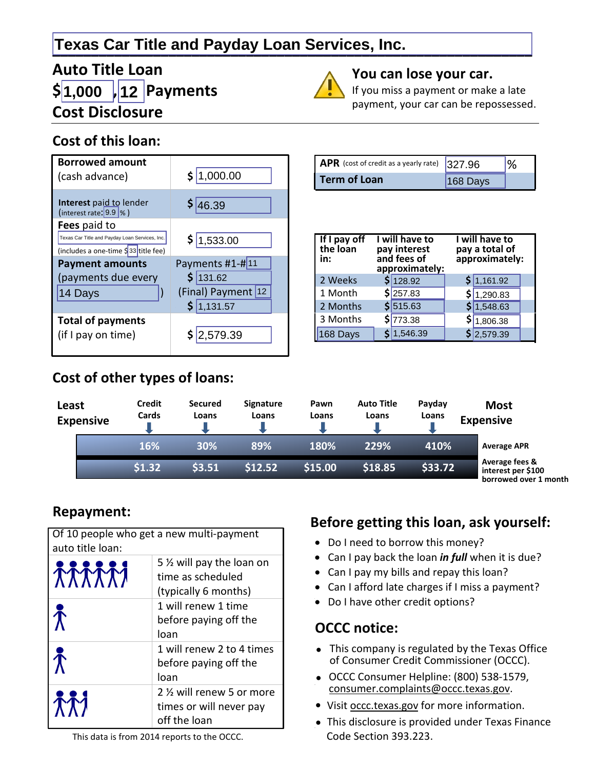# **\_\_\_\_\_\_\_\_\_\_\_\_\_\_\_\_\_\_\_\_\_\_\_\_\_\_\_\_\_\_\_\_\_\_\_\_\_\_\_\_\_\_\_\_\_\_\_\_\_\_\_\_\_\_\_\_\_\_\_\_\_\_ Texas Car Title and Payday Loan Services, Inc.**

# **Auto Title Loan \$ , Payments 1,000 12 Cost Disclosure**

## **Cost of this loan:**



#### **Cost of other types of loans:**

| APR (cost of credit as a yearly rate) 327.96 |          |  |
|----------------------------------------------|----------|--|
| <b>Term of Loan</b>                          | 168 Dave |  |

**You can lose your car.**

If you miss a payment or make a late payment, your car can be repossessed.

168 Days

| If I pay off<br>the loan<br>in: | I will have to<br>pay interest<br>and fees of<br>approximately: | I will have to<br>pay a total of<br>approximately: |  |
|---------------------------------|-----------------------------------------------------------------|----------------------------------------------------|--|
| 2 Weeks                         | \$128.92                                                        | \$1,161.92                                         |  |
| 1 Month                         | \$257.83                                                        | \$ 1,290.83                                        |  |
| 2 Months                        | \$1515.63                                                       | \$1,548.63                                         |  |
| 3 Months                        | \$773.38                                                        | \$ 1,806.38                                        |  |
| $168$ Days                      | \$1,546.39                                                      | \$2,579.39                                         |  |

| Least | <b>Expensive</b> | Credit<br>Cards | <b>Secured</b><br>Loans | <b>Signature</b><br>Loans | Pawn<br>Loans | <b>Auto Title</b><br>Loans | Payday<br>Loans | <b>Most</b><br><b>Expensive</b>                                                 |
|-------|------------------|-----------------|-------------------------|---------------------------|---------------|----------------------------|-----------------|---------------------------------------------------------------------------------|
|       |                  | 16%             | 30%                     | 89%                       | 180%          | 229%                       | 410%            | <b>Average APR</b>                                                              |
|       |                  | \$1.32          | 53.51                   | \$12.52                   | \$15.00       | \$18.85                    | \$33.72         | Average fees &<br>interest per \$100<br>بالإستخدمين الاستحددية المتحدد ومستحيما |

 **borrowed over 1 month** 

## **Repayment:**

| auto title loan:       | Of 10 people who get a new multi-payment                              |
|------------------------|-----------------------------------------------------------------------|
| <b>TATTTI</b>          | 5 % will pay the loan on<br>time as scheduled<br>(typically 6 months) |
| $\hat{\bm{\Lambda}}$   | 1 will renew 1 time<br>before paying off the<br>loan                  |
| $\tilde{\bm{\Lambda}}$ | 1 will renew 2 to 4 times<br>before paying off the<br>loan            |
|                        | 2 1/2 will renew 5 or more<br>times or will never pay<br>off the loan |

#### **Before getting this loan, ask yourself:**

- Do I need to borrow this money?
- Can I pay back the loan *in full* when it is due?
- Can I pay my bills and repay this loan?
- Can I afford late charges if I miss a payment?
- Do I have other credit options?

#### **OCCC notice:**

- This company is regulated by the Texas Office of Consumer Credit Commissioner (OCCC).
- OCCC Consumer Helpline: (800) 538-1579, consumer.complaints@occc.texas.gov.
- Visit occc.texas.gov for more information.
- This disclosure is provided under Texas Finance Code Section 393.223.

This data is from 2014 reports to the OCCC.